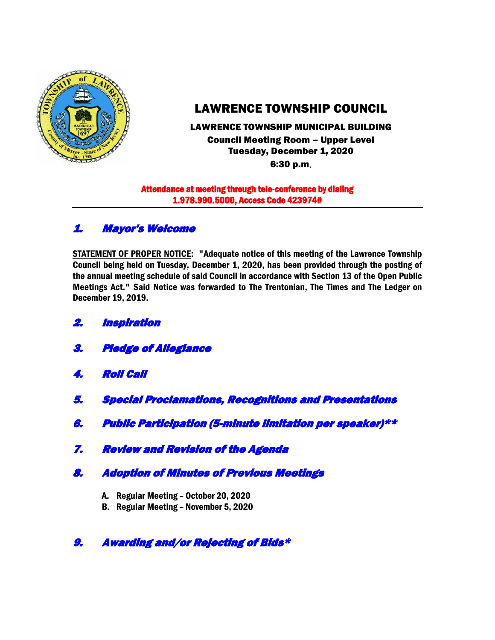

# LAWRENCE TOWNSHIP COUNCIL

# LAWRENCE TOWNSHIP MUNICIPAL BUILDING Council Meeting Room – Upper Level Tuesday, December 1, 2020

6:30 p.m.

#### Attendance at meeting through tele-conference by dialing 1.978.990.5000, Access Code 423974#

# 1. Mayor's Welcome

STATEMENT OF PROPER NOTICE: "Adequate notice of this meeting of the Lawrence Township Council being held on Tuesday, December 1, 2020, has been provided through the posting of the annual meeting schedule of said Council in accordance with Section 13 of the Open Public Meetings Act." Said Notice was forwarded to The Trentonian, The Times and The Ledger on December 19, 2019.

- 2. Inspiration
- 3. Pledge of Allegiance
- 4. Roll Call
- 5. Special Proclamations, Recognitions and Presentations
- 6. Public Participation (5-minute limitation per speaker)\*\*
- 7. Review and Revision of the Agenda
- 8. Adoption of Minutes of Previous Meetings
	- A. Regular Meeting October 20, 2020
	- B. Regular Meeting November 5, 2020
- 9. Awarding and/or Rejecting of Bids\*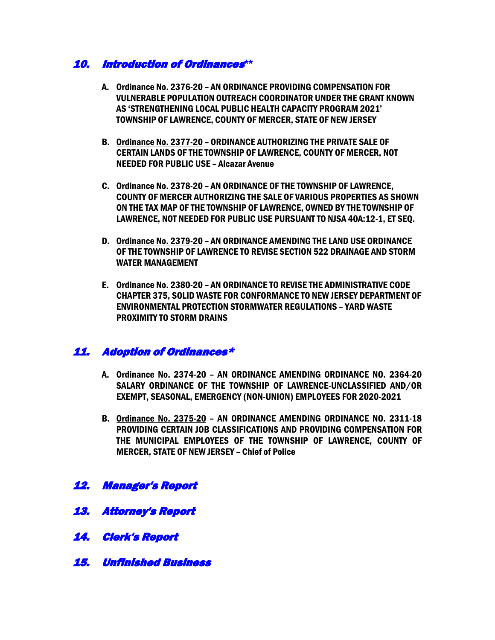### 10. Introduction of Ordinances**\*\***

- A. Ordinance No. 2376-20 AN ORDINANCE PROVIDING COMPENSATION FOR VULNERABLE POPULATION OUTREACH COORDINATOR UNDER THE GRANT KNOWN AS 'STRENGTHENING LOCAL PUBLIC HEALTH CAPACITY PROGRAM 2021' TOWNSHIP OF LAWRENCE, COUNTY OF MERCER, STATE OF NEW JERSEY
- B. Ordinance No. 2377-20 ORDINANCE AUTHORIZING THE PRIVATE SALE OF CERTAIN LANDS OF THE TOWNSHIP OF LAWRENCE, COUNTY OF MERCER, NOT NEEDED FOR PUBLIC USE – Alcazar Avenue
- C. Ordinance No. 2378-20 AN ORDINANCE OF THE TOWNSHIP OF LAWRENCE, COUNTY OF MERCER AUTHORIZING THE SALE OF VARIOUS PROPERTIES AS SHOWN ON THE TAX MAP OF THE TOWNSHIP OF LAWRENCE, OWNED BY THE TOWNSHIP OF LAWRENCE, NOT NEEDED FOR PUBLIC USE PURSUANT TO NJSA 40A:12-1, ET SEQ.
- D. Ordinance No. 2379-20 AN ORDINANCE AMENDING THE LAND USE ORDINANCE OF THE TOWNSHIP OF LAWRENCE TO REVISE SECTION 522 DRAINAGE AND STORM WATER MANAGEMENT
- E. Ordinance No. 2380-20 AN ORDINANCE TO REVISE THE ADMINISTRATIVE CODE CHAPTER 375, SOLID WASTE FOR CONFORMANCE TO NEW JERSEY DEPARTMENT OF ENVIRONMENTAL PROTECTION STORMWATER REGULATIONS – YARD WASTE PROXIMITY TO STORM DRAINS

### 11. Adoption of Ordinances\*

- A. Ordinance No. 2374-20 AN ORDINANCE AMENDING ORDINANCE NO. 2364-20 SALARY ORDINANCE OF THE TOWNSHIP OF LAWRENCE-UNCLASSIFIED AND/OR EXEMPT, SEASONAL, EMERGENCY (NON-UNION) EMPLOYEES FOR 2020-2021
- B. Ordinance No. 2375-20 AN ORDINANCE AMENDING ORDINANCE NO. 2311-18 PROVIDING CERTAIN JOB CLASSIFICATIONS AND PROVIDING COMPENSATION FOR THE MUNICIPAL EMPLOYEES OF THE TOWNSHIP OF LAWRENCE, COUNTY OF MERCER, STATE OF NEW JERSEY – Chief of Police
- 12. Manager's Report
- 13. Attorney's Report
- 14. Clerk's Report
- 15. Unfinished Business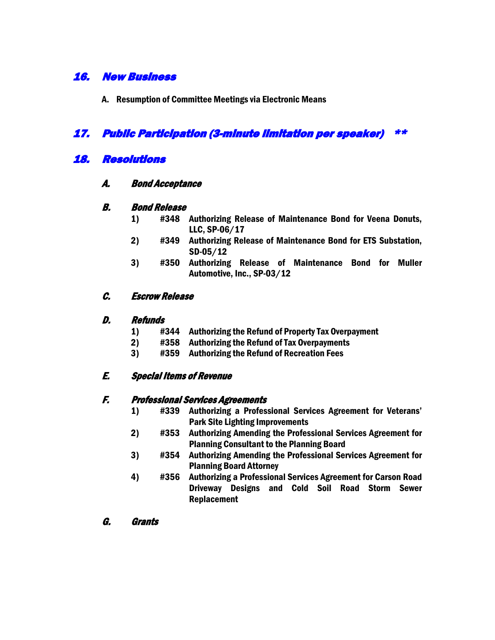# 16. New Business

A. Resumption of Committee Meetings via Electronic Means

### 17. Public Participation (3-minute limitation per speaker) \*\*

### 18. Resolutions

#### A. Bond Acceptance

#### B. Bond Release

- 1) #348 Authorizing Release of Maintenance Bond for Veena Donuts, LLC, SP-06/17
- 2) #349 Authorizing Release of Maintenance Bond for ETS Substation, SD-05/12
- 3) #350 Authorizing Release of Maintenance Bond for Muller Automotive, Inc., SP-03/12

#### C. Escrow Release

#### D. Refunds

- 1) #344 Authorizing the Refund of Property Tax Overpayment
- 2) #358 Authorizing the Refund of Tax Overpayments
- 3) #359 Authorizing the Refund of Recreation Fees

#### E. Special Items of Revenue

#### F. Professional Services Agreements

- 1) #339 Authorizing a Professional Services Agreement for Veterans' Park Site Lighting Improvements
- 2) #353 Authorizing Amending the Professional Services Agreement for Planning Consultant to the Planning Board
- 3) #354 Authorizing Amending the Professional Services Agreement for Planning Board Attorney
- 4) #356 Authorizing a Professional Services Agreement for Carson Road Driveway Designs and Cold Soil Road Storm Sewer Replacement
- G. Grants